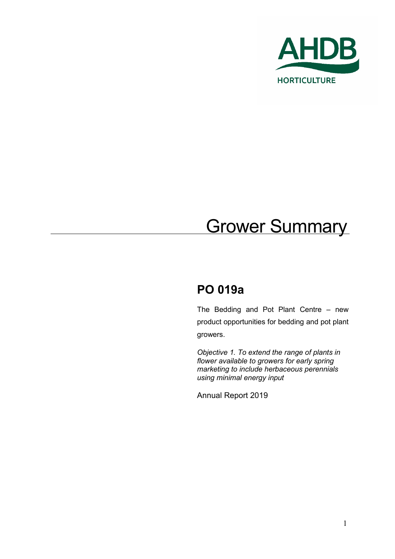

# **Grower Summary**

# **PO 019a**

The Bedding and Pot Plant Centre – new product opportunities for bedding and pot plant growers.

*Objective 1. To extend the range of plants in flower available to growers for early spring marketing to include herbaceous perennials using minimal energy input*

Annual Report 2019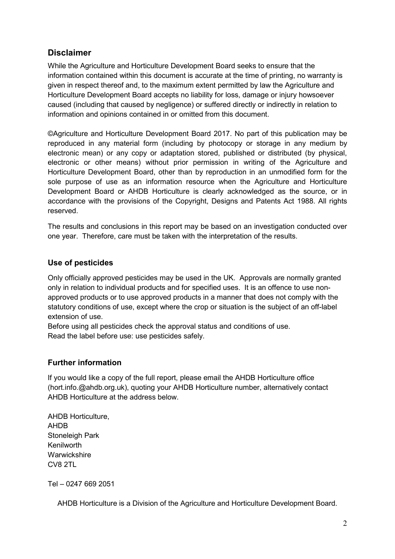### **Disclaimer**

While the Agriculture and Horticulture Development Board seeks to ensure that the information contained within this document is accurate at the time of printing, no warranty is given in respect thereof and, to the maximum extent permitted by law the Agriculture and Horticulture Development Board accepts no liability for loss, damage or injury howsoever caused (including that caused by negligence) or suffered directly or indirectly in relation to information and opinions contained in or omitted from this document.

©Agriculture and Horticulture Development Board 2017. No part of this publication may be reproduced in any material form (including by photocopy or storage in any medium by electronic mean) or any copy or adaptation stored, published or distributed (by physical, electronic or other means) without prior permission in writing of the Agriculture and Horticulture Development Board, other than by reproduction in an unmodified form for the sole purpose of use as an information resource when the Agriculture and Horticulture Development Board or AHDB Horticulture is clearly acknowledged as the source, or in accordance with the provisions of the Copyright, Designs and Patents Act 1988. All rights reserved.

The results and conclusions in this report may be based on an investigation conducted over one year. Therefore, care must be taken with the interpretation of the results.

#### **Use of pesticides**

Only officially approved pesticides may be used in the UK. Approvals are normally granted only in relation to individual products and for specified uses. It is an offence to use nonapproved products or to use approved products in a manner that does not comply with the statutory conditions of use, except where the crop or situation is the subject of an off-label extension of use.

Before using all pesticides check the approval status and conditions of use. Read the label before use: use pesticides safely.

#### **Further information**

If you would like a copy of the full report, please email the AHDB Horticulture office (hort.info.@ahdb.org.uk), quoting your AHDB Horticulture number, alternatively contact AHDB Horticulture at the address below.

AHDB Horticulture, AHDB Stoneleigh Park Kenilworth **Warwickshire** CV8 2TL

Tel – 0247 669 2051

AHDB Horticulture is a Division of the Agriculture and Horticulture Development Board.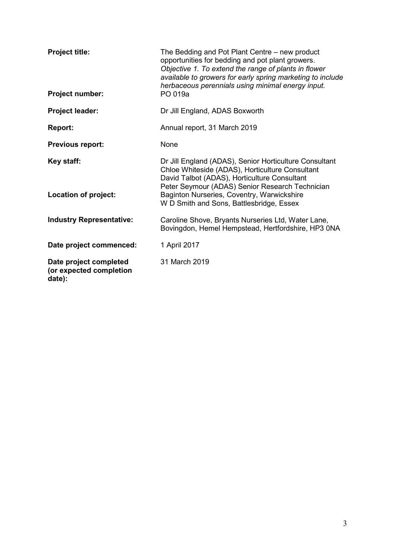| <b>Project title:</b>                                       | The Bedding and Pot Plant Centre – new product<br>opportunities for bedding and pot plant growers.<br>Objective 1. To extend the range of plants in flower<br>available to growers for early spring marketing to include<br>herbaceous perennials using minimal energy input. |  |  |  |
|-------------------------------------------------------------|-------------------------------------------------------------------------------------------------------------------------------------------------------------------------------------------------------------------------------------------------------------------------------|--|--|--|
| Project number:                                             | PO 019a                                                                                                                                                                                                                                                                       |  |  |  |
| Project leader:                                             | Dr Jill England, ADAS Boxworth                                                                                                                                                                                                                                                |  |  |  |
| <b>Report:</b>                                              | Annual report, 31 March 2019                                                                                                                                                                                                                                                  |  |  |  |
| <b>Previous report:</b>                                     | None                                                                                                                                                                                                                                                                          |  |  |  |
| Key staff:                                                  | Dr Jill England (ADAS), Senior Horticulture Consultant<br>Chloe Whiteside (ADAS), Horticulture Consultant<br>David Talbot (ADAS), Horticulture Consultant<br>Peter Seymour (ADAS) Senior Research Technician                                                                  |  |  |  |
| Location of project:                                        | Baginton Nurseries, Coventry, Warwickshire<br>W D Smith and Sons, Battlesbridge, Essex                                                                                                                                                                                        |  |  |  |
| <b>Industry Representative:</b>                             | Caroline Shove, Bryants Nurseries Ltd, Water Lane,<br>Bovingdon, Hemel Hempstead, Hertfordshire, HP3 0NA                                                                                                                                                                      |  |  |  |
| Date project commenced:                                     | 1 April 2017                                                                                                                                                                                                                                                                  |  |  |  |
| Date project completed<br>(or expected completion<br>date): | 31 March 2019                                                                                                                                                                                                                                                                 |  |  |  |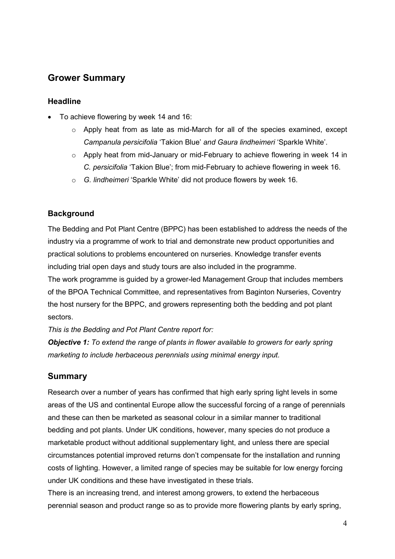## **Grower Summary**

#### **Headline**

- To achieve flowering by week 14 and 16:
	- o Apply heat from as late as mid-March for all of the species examined, except *Campanula persicifolia* 'Takion Blue' *and Gaura lindheimeri* 'Sparkle White'.
	- $\circ$  Apply heat from mid-January or mid-February to achieve flowering in week 14 in *C. persicifolia* 'Takion Blue'; from mid-February to achieve flowering in week 16.
	- o *G. lindheimeri* 'Sparkle White' did not produce flowers by week 16.

#### **Background**

The Bedding and Pot Plant Centre (BPPC) has been established to address the needs of the industry via a programme of work to trial and demonstrate new product opportunities and practical solutions to problems encountered on nurseries. Knowledge transfer events including trial open days and study tours are also included in the programme. The work programme is guided by a grower-led Management Group that includes members of the BPOA Technical Committee, and representatives from Baginton Nurseries, Coventry the host nursery for the BPPC, and growers representing both the bedding and pot plant sectors.

*This is the Bedding and Pot Plant Centre report for:* 

*Objective 1: To extend the range of plants in flower available to growers for early spring marketing to include herbaceous perennials using minimal energy input.*

#### **Summary**

Research over a number of years has confirmed that high early spring light levels in some areas of the US and continental Europe allow the successful forcing of a range of perennials and these can then be marketed as seasonal colour in a similar manner to traditional bedding and pot plants. Under UK conditions, however, many species do not produce a marketable product without additional supplementary light, and unless there are special circumstances potential improved returns don't compensate for the installation and running costs of lighting. However, a limited range of species may be suitable for low energy forcing under UK conditions and these have investigated in these trials.

There is an increasing trend, and interest among growers, to extend the herbaceous perennial season and product range so as to provide more flowering plants by early spring,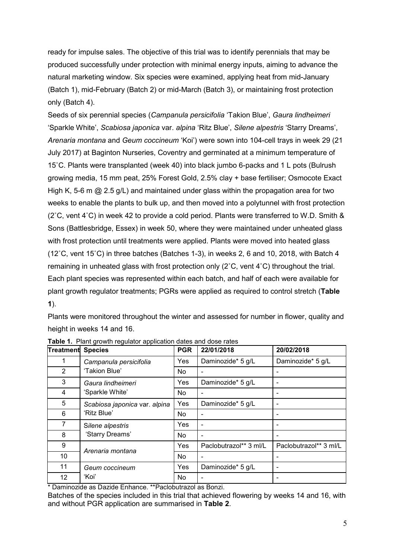ready for impulse sales. The objective of this trial was to identify perennials that may be produced successfully under protection with minimal energy inputs, aiming to advance the natural marketing window. Six species were examined, applying heat from mid-January (Batch 1), mid-February (Batch 2) or mid-March (Batch 3), or maintaining frost protection only (Batch 4).

Seeds of six perennial species (*Campanula persicifolia* 'Takion Blue', *Gaura lindheimeri*  'Sparkle White', *Scabiosa japonica* var. *alpina* 'Ritz Blue', *Silene alpestris* 'Starry Dreams', *Arenaria montana* and *Geum coccineum* 'Koi') were sown into 104-cell trays in week 29 (21 July 2017) at Baginton Nurseries, Coventry and germinated at a minimum temperature of 15˚C. Plants were transplanted (week 40) into black jumbo 6-packs and 1 L pots (Bulrush growing media, 15 mm peat, 25% Forest Gold, 2.5% clay + base fertiliser; Osmocote Exact High K, 5-6 m  $\omega$  2.5 g/L) and maintained under glass within the propagation area for two weeks to enable the plants to bulk up, and then moved into a polytunnel with frost protection (2˚C, vent 4˚C) in week 42 to provide a cold period. Plants were transferred to W.D. Smith & Sons (Battlesbridge, Essex) in week 50, where they were maintained under unheated glass with frost protection until treatments were applied. Plants were moved into heated glass (12˚C, vent 15˚C) in three batches (Batches 1-3), in weeks 2, 6 and 10, 2018, with Batch 4 remaining in unheated glass with frost protection only (2˚C, vent 4˚C) throughout the trial. Each plant species was represented within each batch, and half of each were available for plant growth regulator treatments; PGRs were applied as required to control stretch (**[Table](#page-4-0)  [1](#page-4-0)**).

Plants were monitored throughout the winter and assessed for number in flower, quality and height in weeks 14 and 16.

| <b>Treatment</b>  | <b>Species</b>                | <b>PGR</b> | 22/01/2018             | 20/02/2018             |
|-------------------|-------------------------------|------------|------------------------|------------------------|
|                   | Campanula persicifolia        | Yes        | Daminozide* 5 g/L      | Daminozide* 5 g/L      |
| 2                 | 'Takion Blue'                 | <b>No</b>  |                        |                        |
| 3                 | Gaura lindheimeri             | Yes        | Daminozide* 5 g/L      |                        |
| 4                 | 'Sparkle White'               | No.        | $\blacksquare$         |                        |
| 5                 | Scabiosa japonica var. alpina | <b>Yes</b> | Daminozide* 5 g/L      | -                      |
| 6                 | 'Ritz Blue'                   | <b>No</b>  |                        |                        |
| 7                 | Silene alpestris              | Yes        |                        |                        |
| 8                 | 'Starry Dreams'               | <b>No</b>  |                        |                        |
| 9                 | Arenaria montana              | Yes        | Paclobutrazol** 3 ml/L | Paclobutrazol** 3 ml/L |
| 10                |                               | No         |                        |                        |
| 11                | Geum coccineum                | Yes        | Daminozide* 5 g/L      |                        |
| $12 \overline{ }$ | 'Koi'                         |            |                        |                        |

<span id="page-4-0"></span>**Table 1.** Plant growth regulator application dates and dose rates

\* Daminozide as Dazide Enhance. \*\*Paclobutrazol as Bonzi.

Batches of the species included in this trial that achieved flowering by weeks 14 and 16, with and without PGR application are summarised in **[Table 2](#page-5-0)**.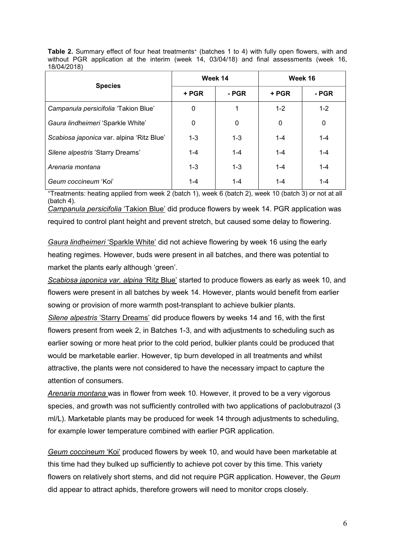<span id="page-5-0"></span>**Table 2.** Summary effect of four heat treatments<sup>+</sup> (batches 1 to 4) with fully open flowers, with and without PGR application at the interim (week 14, 03/04/18) and final assessments (week 16, 18/04/2018)

|                                           | Week 14 |         | Week 16 |         |
|-------------------------------------------|---------|---------|---------|---------|
| <b>Species</b>                            | + PGR   | - PGR   | + PGR   | - PGR   |
| Campanula persicifolia 'Takion Blue'      | 0       | 1       | $1 - 2$ | $1 - 2$ |
| Gaura lindheimeri 'Sparkle White'         | 0       | 0       | 0       | 0       |
| Scabiosa japonica var. alpina 'Ritz Blue' | $1 - 3$ | $1 - 3$ | $1 - 4$ | $1 - 4$ |
| Silene alpestris 'Starry Dreams'          | $1 - 4$ | $1 - 4$ | $1 - 4$ | $1 - 4$ |
| Arenaria montana                          | $1 - 3$ | $1 - 3$ | $1 - 4$ | $1 - 4$ |
| Geum coccineum 'Koi'                      | 1-4     | $1 - 4$ | $1 - 4$ | $1 - 4$ |

+Treatments: heating applied from week 2 (batch 1), week 6 (batch 2), week 10 (batch 3) or not at all (batch 4).

*Campanula persicifolia* 'Takion Blue' did produce flowers by week 14. PGR application was required to control plant height and prevent stretch, but caused some delay to flowering.

*Gaura lindheimeri* 'Sparkle White' did not achieve flowering by week 16 using the early heating regimes. However, buds were present in all batches, and there was potential to market the plants early although 'green'.

*Scabiosa japonica var. alpina* 'Ritz Blue' started to produce flowers as early as week 10, and flowers were present in all batches by week 14. However, plants would benefit from earlier sowing or provision of more warmth post-transplant to achieve bulkier plants.

*Silene alpestris* 'Starry Dreams' did produce flowers by weeks 14 and 16, with the first flowers present from week 2, in Batches 1-3, and with adjustments to scheduling such as earlier sowing or more heat prior to the cold period, bulkier plants could be produced that would be marketable earlier. However, tip burn developed in all treatments and whilst attractive, the plants were not considered to have the necessary impact to capture the attention of consumers.

*Arenaria montana* was in flower from week 10. However, it proved to be a very vigorous species, and growth was not sufficiently controlled with two applications of paclobutrazol (3 ml/L). Marketable plants may be produced for week 14 through adjustments to scheduling, for example lower temperature combined with earlier PGR application.

*Geum coccineum* 'Koi' produced flowers by week 10, and would have been marketable at this time had they bulked up sufficiently to achieve pot cover by this time. This variety flowers on relatively short stems, and did not require PGR application. However, the *Geum* did appear to attract aphids, therefore growers will need to monitor crops closely.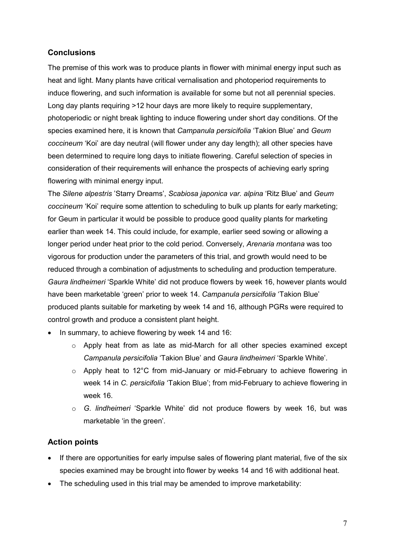#### **Conclusions**

The premise of this work was to produce plants in flower with minimal energy input such as heat and light. Many plants have critical vernalisation and photoperiod requirements to induce flowering, and such information is available for some but not all perennial species. Long day plants requiring >12 hour days are more likely to require supplementary, photoperiodic or night break lighting to induce flowering under short day conditions. Of the species examined here, it is known that *Campanula persicifolia* 'Takion Blue' and *Geum coccineum* 'Koi' are day neutral (will flower under any day length); all other species have been determined to require long days to initiate flowering. Careful selection of species in consideration of their requirements will enhance the prospects of achieving early spring flowering with minimal energy input.

The *Silene alpestris* 'Starry Dreams', *Scabiosa japonica var. alpina* 'Ritz Blue' and *Geum coccineum* 'Koi' require some attention to scheduling to bulk up plants for early marketing; for Geum in particular it would be possible to produce good quality plants for marketing earlier than week 14. This could include, for example, earlier seed sowing or allowing a longer period under heat prior to the cold period. Conversely, *Arenaria montana* was too vigorous for production under the parameters of this trial, and growth would need to be reduced through a combination of adjustments to scheduling and production temperature. *Gaura lindheimeri* 'Sparkle White' did not produce flowers by week 16, however plants would have been marketable 'green' prior to week 14. *Campanula persicifolia* 'Takion Blue' produced plants suitable for marketing by week 14 and 16, although PGRs were required to control growth and produce a consistent plant height.

- In summary, to achieve flowering by week 14 and 16:
	- o Apply heat from as late as mid-March for all other species examined except *Campanula persicifolia* 'Takion Blue' and *Gaura lindheimeri* 'Sparkle White'.
	- o Apply heat to 12°C from mid-January or mid-February to achieve flowering in week 14 in *C. persicifolia* 'Takion Blue'; from mid-February to achieve flowering in week 16.
	- o *G. lindheimeri* 'Sparkle White' did not produce flowers by week 16, but was marketable 'in the green'.

#### **Action points**

- If there are opportunities for early impulse sales of flowering plant material, five of the six species examined may be brought into flower by weeks 14 and 16 with additional heat.
- The scheduling used in this trial may be amended to improve marketability: